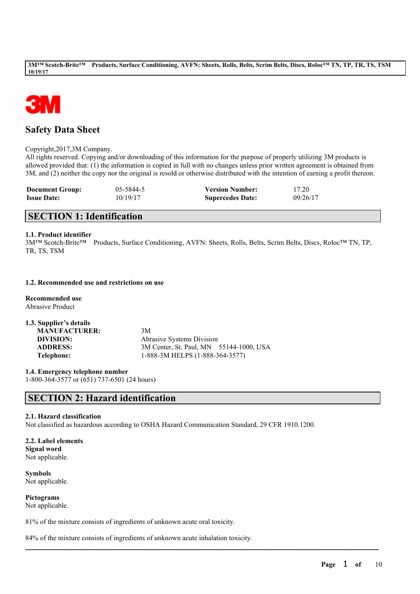

# **Safety Data Sheet**

Copyright,2017,3M Company.

All rights reserved. Copying and/or downloading of this information for the purpose of properly utilizing 3M products is allowed provided that: (1) the information is copied in full with no changes unless prior written agreement is obtained from 3M, and (2) neither the copy nor the original is resold or otherwise distributed with the intention of earning a profit thereon.

| <b>Document Group:</b> | 05-5844-5 | <b>Version Number:</b>  | 17.20    |
|------------------------|-----------|-------------------------|----------|
| <b>Issue Date:</b>     | 10/19/17  | <b>Supercedes Date:</b> | 09/26/17 |

# **SECTION 1: Identification**

#### **1.1. Product identifier**

3M™ Scotch-Brite™ Products, Surface Conditioning, AVFN: Sheets, Rolls, Belts, Scrim Belts, Discs, Roloc™ TN, TP, TR, TS, TSM

## **1.2. Recommended use and restrictions on use**

**Recommended use** Abrasive Product

| 1.3. Supplier's details |                                         |
|-------------------------|-----------------------------------------|
| <b>MANUFACTURER:</b>    | 3M                                      |
| DIVISION:               | <b>Abrasive Systems Division</b>        |
| <b>ADDRESS:</b>         | 3M Center, St. Paul, MN 55144-1000, USA |
| Telephone:              | 1-888-3M HELPS (1-888-364-3577)         |

**1.4. Emergency telephone number** 1-800-364-3577 or (651) 737-6501 (24 hours)

# **SECTION 2: Hazard identification**

#### **2.1. Hazard classification**

Not classified as hazardous according to OSHA Hazard Communication Standard, 29 CFR 1910.1200.

 $\mathcal{L}_\mathcal{L} = \mathcal{L}_\mathcal{L} = \mathcal{L}_\mathcal{L} = \mathcal{L}_\mathcal{L} = \mathcal{L}_\mathcal{L} = \mathcal{L}_\mathcal{L} = \mathcal{L}_\mathcal{L} = \mathcal{L}_\mathcal{L} = \mathcal{L}_\mathcal{L} = \mathcal{L}_\mathcal{L} = \mathcal{L}_\mathcal{L} = \mathcal{L}_\mathcal{L} = \mathcal{L}_\mathcal{L} = \mathcal{L}_\mathcal{L} = \mathcal{L}_\mathcal{L} = \mathcal{L}_\mathcal{L} = \mathcal{L}_\mathcal{L}$ 

# **2.2. Label elements**

**Signal word** Not applicable.

**Symbols** Not applicable.

**Pictograms** Not applicable.

81% of the mixture consists of ingredients of unknown acute oral toxicity.

84% of the mixture consists of ingredients of unknown acute inhalation toxicity.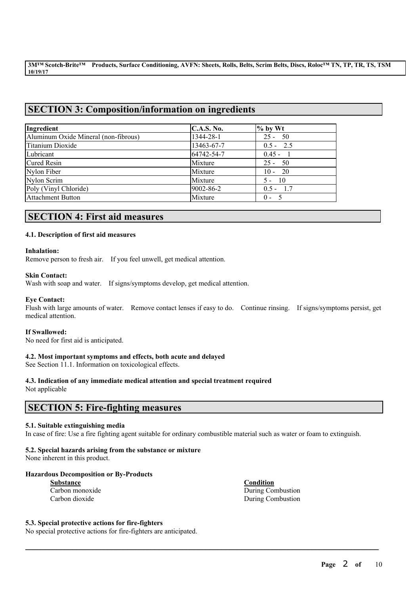# **SECTION 3: Composition/information on ingredients**

| Ingredient                           | <b>C.A.S. No.</b> | $%$ by Wt   |
|--------------------------------------|-------------------|-------------|
| Aluminum Oxide Mineral (non-fibrous) | 1344-28-1         | $25 - 50$   |
| Titanium Dioxide                     | 13463-67-7        | $0.5 - 2.5$ |
| Lubricant                            | 64742-54-7        | $0.45 - 1$  |
| Cured Resin                          | Mixture           | $25 - 50$   |
| Nylon Fiber                          | Mixture           | $10 - 20$   |
| Nylon Scrim                          | Mixture           | $5 - 10$    |
| Poly (Vinyl Chloride)                | 9002-86-2         | $0.5 - 1.7$ |
| <b>Attachment Button</b>             | Mixture           | $0 - 5$     |

# **SECTION 4: First aid measures**

## **4.1. Description of first aid measures**

#### **Inhalation:**

Remove person to fresh air. If you feel unwell, get medical attention.

#### **Skin Contact:**

Wash with soap and water. If signs/symptoms develop, get medical attention.

#### **Eye Contact:**

Flush with large amounts of water. Remove contact lenses if easy to do. Continue rinsing. If signs/symptoms persist, get medical attention.

#### **If Swallowed:**

No need for first aid is anticipated.

#### **4.2. Most important symptoms and effects, both acute and delayed**

See Section 11.1. Information on toxicological effects.

#### **4.3. Indication of any immediate medical attention and special treatment required**

Not applicable

# **SECTION 5: Fire-fighting measures**

#### **5.1. Suitable extinguishing media**

In case of fire: Use a fire fighting agent suitable for ordinary combustible material such as water or foam to extinguish.

 $\mathcal{L}_\mathcal{L} = \mathcal{L}_\mathcal{L} = \mathcal{L}_\mathcal{L} = \mathcal{L}_\mathcal{L} = \mathcal{L}_\mathcal{L} = \mathcal{L}_\mathcal{L} = \mathcal{L}_\mathcal{L} = \mathcal{L}_\mathcal{L} = \mathcal{L}_\mathcal{L} = \mathcal{L}_\mathcal{L} = \mathcal{L}_\mathcal{L} = \mathcal{L}_\mathcal{L} = \mathcal{L}_\mathcal{L} = \mathcal{L}_\mathcal{L} = \mathcal{L}_\mathcal{L} = \mathcal{L}_\mathcal{L} = \mathcal{L}_\mathcal{L}$ 

## **5.2. Special hazards arising from the substance or mixture**

None inherent in this product.

#### **Hazardous Decomposition or By-Products**

| <b>Substance</b> |  |  |
|------------------|--|--|
| Carbon monoxide  |  |  |
| Carbon dioxide   |  |  |

**Substance Condition** During Combustion During Combustion

#### **5.3. Special protective actions for fire-fighters**

No special protective actions for fire-fighters are anticipated.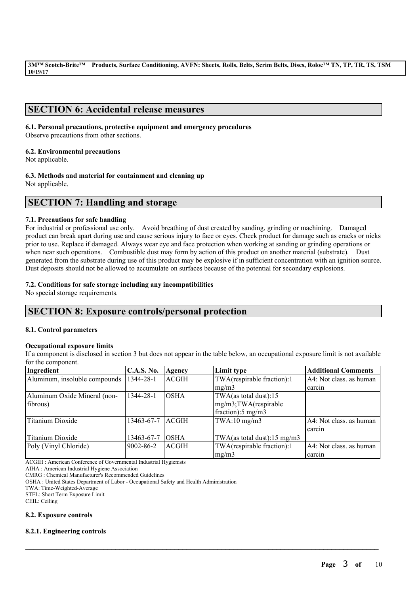# **SECTION 6: Accidental release measures**

## **6.1. Personal precautions, protective equipment and emergency procedures**

Observe precautions from other sections.

## **6.2. Environmental precautions**

Not applicable.

## **6.3. Methods and material for containment and cleaning up**

Not applicable.

# **SECTION 7: Handling and storage**

## **7.1. Precautions for safe handling**

For industrial or professional use only. Avoid breathing of dust created by sanding, grinding or machining. Damaged product can break apart during use and cause serious injury to face or eyes. Check product for damage such as cracks or nicks prior to use. Replace if damaged. Always wear eye and face protection when working at sanding or grinding operations or when near such operations. Combustible dust may form by action of this product on another material (substrate). Dust generated from the substrate during use of this product may be explosive if in sufficient concentration with an ignition source. Dust deposits should not be allowed to accumulate on surfaces because of the potential for secondary explosions.

## **7.2. Conditions for safe storage including any incompatibilities**

No special storage requirements.

# **SECTION 8: Exposure controls/personal protection**

#### **8.1. Control parameters**

#### **Occupational exposure limits**

If a component is disclosed in section 3 but does not appear in the table below, an occupational exposure limit is not available for the component.

| Ingredient                    | <b>C.A.S. No.</b> | Agency        | Limit type                  | <b>Additional Comments</b> |
|-------------------------------|-------------------|---------------|-----------------------------|----------------------------|
| Aluminum, insoluble compounds | 1344-28-1         | <b>ACGIH</b>  | TWA(respirable fraction):1  | A4: Not class. as human    |
|                               |                   |               | mg/m3                       | l carcin                   |
| Aluminum Oxide Mineral (non-  | 1344-28-1         | IOSHA         | TWA(as total dust):15       |                            |
| fibrous)                      |                   |               | mg/m3;TWA(respirable        |                            |
|                               |                   |               | fraction):5 mg/m3           |                            |
| Titanium Dioxide              | 13463-67-7        | <b>LACGIH</b> | TWA:10 mg/m3                | A4: Not class, as human    |
|                               |                   |               |                             | l carcın                   |
| Titanium Dioxide              | 13463-67-7        | <b>OSHA</b>   | TWA(as total dust):15 mg/m3 |                            |
| Poly (Vinyl Chloride)         | $9002 - 86 - 2$   | <b>ACGIH</b>  | TWA(respirable fraction):1  | A4: Not class. as human    |
|                               |                   |               | mg/m3                       | carcin                     |

 $\mathcal{L}_\mathcal{L} = \mathcal{L}_\mathcal{L} = \mathcal{L}_\mathcal{L} = \mathcal{L}_\mathcal{L} = \mathcal{L}_\mathcal{L} = \mathcal{L}_\mathcal{L} = \mathcal{L}_\mathcal{L} = \mathcal{L}_\mathcal{L} = \mathcal{L}_\mathcal{L} = \mathcal{L}_\mathcal{L} = \mathcal{L}_\mathcal{L} = \mathcal{L}_\mathcal{L} = \mathcal{L}_\mathcal{L} = \mathcal{L}_\mathcal{L} = \mathcal{L}_\mathcal{L} = \mathcal{L}_\mathcal{L} = \mathcal{L}_\mathcal{L}$ 

ACGIH : American Conference of Governmental Industrial Hygienists

AIHA : American Industrial Hygiene Association

CMRG : Chemical Manufacturer's Recommended Guidelines

OSHA : United States Department of Labor - Occupational Safety and Health Administration

TWA: Time-Weighted-Average

STEL: Short Term Exposure Limit

CEIL: Ceiling

#### **8.2. Exposure controls**

#### **8.2.1. Engineering controls**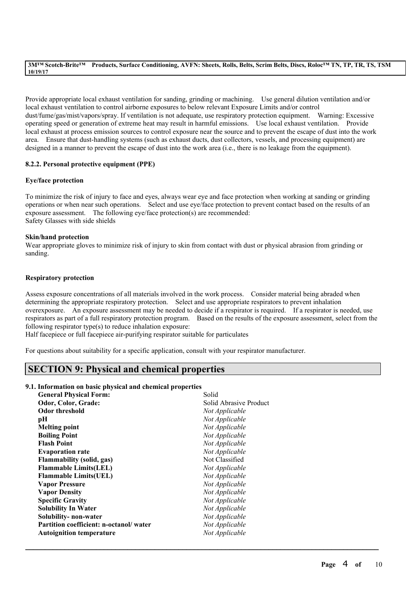Provide appropriate local exhaust ventilation for sanding, grinding or machining. Use general dilution ventilation and/or local exhaust ventilation to control airborne exposures to below relevant Exposure Limits and/or control dust/fume/gas/mist/vapors/spray. If ventilation is not adequate, use respiratory protection equipment. Warning: Excessive operating speed or generation of extreme heat may result in harmful emissions. Use local exhaust ventilation. Provide local exhaust at process emission sources to control exposure near the source and to prevent the escape of dust into the work area. Ensure that dust-handling systems (such as exhaust ducts, dust collectors, vessels, and processing equipment) are designed in a manner to prevent the escape of dust into the work area (i.e., there is no leakage from the equipment).

## **8.2.2. Personal protective equipment (PPE)**

#### **Eye/face protection**

To minimize the risk of injury to face and eyes, always wear eye and face protection when working at sanding or grinding operations or when near such operations. Select and use eye/face protection to prevent contact based on the results of an exposure assessment. The following eye/face protection(s) are recommended: Safety Glasses with side shields

#### **Skin/hand protection**

Wear appropriate gloves to minimize risk of injury to skin from contact with dust or physical abrasion from grinding or sanding.

#### **Respiratory protection**

Assess exposure concentrations of all materials involved in the work process. Consider material being abraded when determining the appropriate respiratory protection. Select and use appropriate respirators to prevent inhalation overexposure. An exposure assessment may be needed to decide if a respirator is required. If a respirator is needed, use respirators as part of a full respiratory protection program. Based on the results of the exposure assessment, select from the following respirator type(s) to reduce inhalation exposure:

 $\mathcal{L}_\mathcal{L} = \mathcal{L}_\mathcal{L} = \mathcal{L}_\mathcal{L} = \mathcal{L}_\mathcal{L} = \mathcal{L}_\mathcal{L} = \mathcal{L}_\mathcal{L} = \mathcal{L}_\mathcal{L} = \mathcal{L}_\mathcal{L} = \mathcal{L}_\mathcal{L} = \mathcal{L}_\mathcal{L} = \mathcal{L}_\mathcal{L} = \mathcal{L}_\mathcal{L} = \mathcal{L}_\mathcal{L} = \mathcal{L}_\mathcal{L} = \mathcal{L}_\mathcal{L} = \mathcal{L}_\mathcal{L} = \mathcal{L}_\mathcal{L}$ 

Half facepiece or full facepiece air-purifying respirator suitable for particulates

For questions about suitability for a specific application, consult with your respirator manufacturer.

# **SECTION 9: Physical and chemical properties**

### **9.1. Information on basic physical and chemical properties**

| Solid                  |
|------------------------|
| Solid Abrasive Product |
| Not Applicable         |
| Not Applicable         |
| Not Applicable         |
| Not Applicable         |
| Not Applicable         |
| Not Applicable         |
| Not Classified         |
| Not Applicable         |
| Not Applicable         |
| Not Applicable         |
| Not Applicable         |
| Not Applicable         |
| Not Applicable         |
| Not Applicable         |
| Not Applicable         |
| Not Applicable         |
|                        |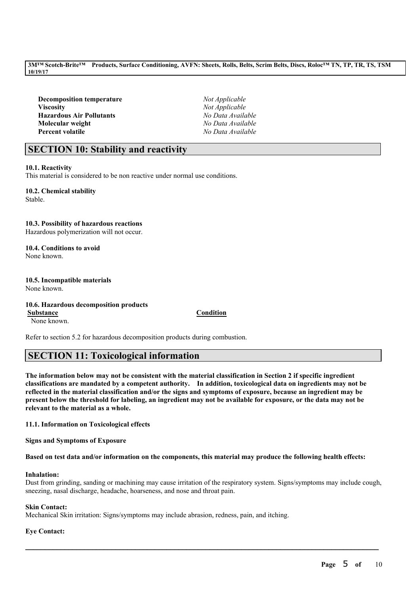**Decomposition temperature** *Not Applicable* **Viscosity** *Not Applicable* **Hazardous Air Pollutants** *No Data Available* **Molecular weight** *No Data Available* **Percent volatile** *No Data Available*

# **SECTION 10: Stability and reactivity**

## **10.1. Reactivity**

This material is considered to be non reactive under normal use conditions.

**10.2. Chemical stability** Stable.

## **10.3. Possibility of hazardous reactions**

Hazardous polymerization will not occur.

#### **10.4. Conditions to avoid** None known.

**10.5. Incompatible materials** None known.

**10.6. Hazardous decomposition products Substance Condition** None known.

Refer to section 5.2 for hazardous decomposition products during combustion.

# **SECTION 11: Toxicological information**

The information below may not be consistent with the material classification in Section 2 if specific ingredient **classifications are mandated by a competent authority. In addition, toxicological data on ingredients may not be** reflected in the material classification and/or the signs and symptoms of exposure, because an ingredient may be present below the threshold for labeling, an ingredient may not be available for exposure, or the data may not be **relevant to the material as a whole.**

**11.1. Information on Toxicological effects**

**Signs and Symptoms of Exposure**

Based on test data and/or information on the components, this material may produce the following health effects:

#### **Inhalation:**

Dust from grinding, sanding or machining may cause irritation of the respiratory system. Signs/symptoms may include cough, sneezing, nasal discharge, headache, hoarseness, and nose and throat pain.

 $\mathcal{L}_\mathcal{L} = \mathcal{L}_\mathcal{L} = \mathcal{L}_\mathcal{L} = \mathcal{L}_\mathcal{L} = \mathcal{L}_\mathcal{L} = \mathcal{L}_\mathcal{L} = \mathcal{L}_\mathcal{L} = \mathcal{L}_\mathcal{L} = \mathcal{L}_\mathcal{L} = \mathcal{L}_\mathcal{L} = \mathcal{L}_\mathcal{L} = \mathcal{L}_\mathcal{L} = \mathcal{L}_\mathcal{L} = \mathcal{L}_\mathcal{L} = \mathcal{L}_\mathcal{L} = \mathcal{L}_\mathcal{L} = \mathcal{L}_\mathcal{L}$ 

#### **Skin Contact:**

Mechanical Skin irritation: Signs/symptoms may include abrasion, redness, pain, and itching.

## **Eye Contact:**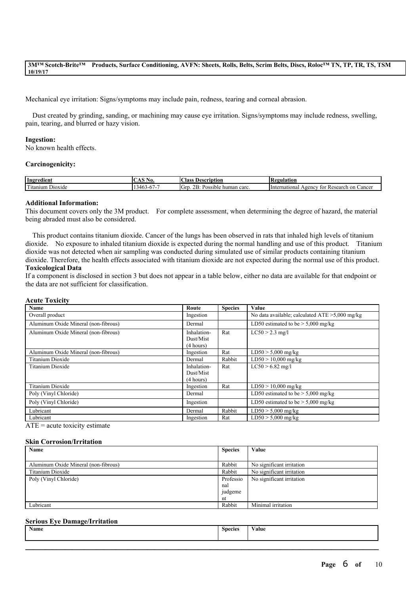Mechanical eye irritation: Signs/symptoms may include pain, redness, tearing and corneal abrasion.

Dust created by grinding, sanding, or machining may cause eye irritation. Signs/symptoms may include redness, swelling, pain, tearing, and blurred or hazy vision.

#### **Ingestion:**

No known health effects.

#### **Carcinogenicity:**

| Ingredient                              | w                          | $\sim$<br>. IPSOF*<br>lass<br>ʻintion                             | в<br><b>Quiation</b><br>ĸ                                                     |
|-----------------------------------------|----------------------------|-------------------------------------------------------------------|-------------------------------------------------------------------------------|
| <b>CONTRACTOR</b><br>itanium<br>Dioxide | . .4F<br>n / -<br>$\cdots$ | $\sim$<br>$\sqrt{ }$<br>OD.<br>carc<br>. GIF<br>.<br>humar<br>нан | International<br>'esearch<br>oen<br>on<br>Cancer<br>וחז<br>$\mathbf{a}$<br>л. |

#### **Additional Information:**

This document covers only the 3M product. For complete assessment, when determining the degree of hazard, the material being abraded must also be considered.

This product contains titanium dioxide. Cancer of the lungs has been observed in rats that inhaled high levels of titanium dioxide. No exposure to inhaled titanium dioxide is expected during the normal handling and use of this product. Titanium dioxide was not detected when air sampling was conducted during simulated use of similar products containing titanium dioxide. Therefore, the health effects associated with titanium dioxide are not expected during the normal use of this product. **Toxicological Data**

If a component is disclosed in section 3 but does not appear in a table below, either no data are available for that endpoint or the data are not sufficient for classification.

#### **Acute Toxicity**

| <b>Name</b>                          | Route                                 | <b>Species</b> | Value                                             |
|--------------------------------------|---------------------------------------|----------------|---------------------------------------------------|
| Overall product                      | Ingestion                             |                | No data available; calculated $ATE > 5,000$ mg/kg |
| Aluminum Oxide Mineral (non-fibrous) | Dermal                                |                | LD50 estimated to be $> 5,000$ mg/kg              |
| Aluminum Oxide Mineral (non-fibrous) | Inhalation-<br>Dust/Mist<br>(4 hours) | Rat            | $LC50 > 2.3$ mg/l                                 |
| Aluminum Oxide Mineral (non-fibrous) | Ingestion                             | Rat            | $LD50 > 5,000$ mg/kg                              |
| Titanium Dioxide                     | Dermal                                | Rabbit         | $LD50 > 10,000$ mg/kg                             |
| Titanium Dioxide                     | Inhalation-<br>Dust/Mist<br>(4 hours) | Rat            | $LC50 > 6.82$ mg/l                                |
| Titanium Dioxide                     | Ingestion                             | Rat            | $LD50 > 10,000$ mg/kg                             |
| Poly (Vinyl Chloride)                | Dermal                                |                | LD50 estimated to be $> 5,000$ mg/kg              |
| Poly (Vinyl Chloride)                | Ingestion                             |                | LD50 estimated to be $> 5,000$ mg/kg              |
| Lubricant                            | Dermal                                | Rabbit         | $LD50 > 5,000$ mg/kg                              |
| Lubricant<br>$\sim$ $\sim$           | Ingestion                             | Rat            | $LD50 > 5,000$ mg/kg                              |

 $ATE = acute$  toxicity estimate

#### **Skin Corrosion/Irritation**

| Name                                 | <b>Species</b> | Value                     |
|--------------------------------------|----------------|---------------------------|
|                                      |                |                           |
| Aluminum Oxide Mineral (non-fibrous) | Rabbit         | No significant irritation |
| Titanium Dioxide                     | Rabbit         | No significant irritation |
| Poly (Vinyl Chloride)                | Professio      | No significant irritation |
|                                      | nal            |                           |
|                                      | judgeme        |                           |
|                                      | nt             |                           |
| Lubricant                            | Rabbit         | Minimal irritation        |

#### **Serious Eye Damage/Irritation**

| Name | <b>Species</b> | Value |
|------|----------------|-------|
|      |                |       |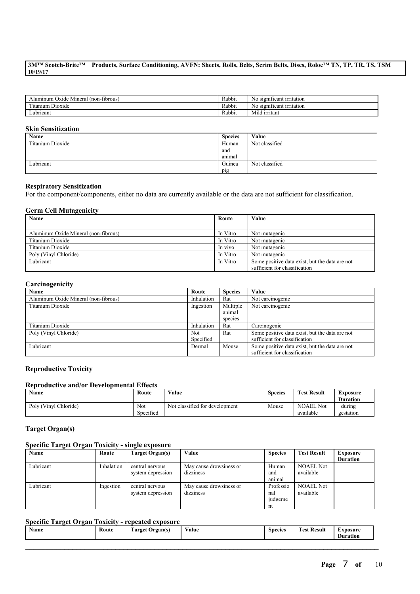| (non-fibrous)<br>Alumınum<br>Mineral<br>Oxide  | Rabbit | -irritation<br>- S1211<br>ficant.<br>NΩ |
|------------------------------------------------|--------|-----------------------------------------|
| cars."<br>$\sim$ $\cdot$<br>Dioxide<br>ltanıum | Rabbit | - -<br>-irritation<br>significant<br>NΟ |
| -<br>Lubricant                                 | Rabbit | $-1$<br>Mild irritant                   |

## **Skin Sensitization**

| <b>Name</b>      | <b>Species</b> | Value          |
|------------------|----------------|----------------|
| Titanium Dioxide | Human          | Not classified |
|                  | and            |                |
|                  | anımal         |                |
| Lubricant        | Guinea         | Not classified |
|                  | pig            |                |

#### **Respiratory Sensitization**

For the component/components, either no data are currently available or the data are not sufficient for classification.

#### **Germ Cell Mutagenicity**

| Name                                 | Route    | Value                                          |
|--------------------------------------|----------|------------------------------------------------|
|                                      |          |                                                |
| Aluminum Oxide Mineral (non-fibrous) | In Vitro | Not mutagenic                                  |
| Titanium Dioxide                     | In Vitro | Not mutagenic                                  |
| Titanium Dioxide                     | In vivo  | Not mutagenic                                  |
| Poly (Vinyl Chloride)                | In Vitro | Not mutagenic                                  |
| Lubricant                            | In Vitro | Some positive data exist, but the data are not |
|                                      |          | sufficient for classification                  |

### **Carcinogenicity**

| Name                                 | Route      | <b>Species</b> | Value                                          |
|--------------------------------------|------------|----------------|------------------------------------------------|
| Aluminum Oxide Mineral (non-fibrous) | Inhalation | Rat            | Not carcinogenic                               |
| Titanium Dioxide                     | Ingestion  | Multiple       | Not carcinogenic                               |
|                                      |            | animal         |                                                |
|                                      |            | species        |                                                |
| Titanium Dioxide                     | Inhalation | Rat            | Carcinogenic                                   |
| Poly (Vinyl Chloride)                | Not        | Rat            | Some positive data exist, but the data are not |
|                                      | Specified  |                | sufficient for classification                  |
| Lubricant                            | Dermal     | Mouse          | Some positive data exist, but the data are not |
|                                      |            |                | sufficient for classification                  |

## **Reproductive Toxicity**

#### **Reproductive and/or Developmental Effects**

| <b>Name</b>           | Route            | Value                          | <b>Species</b> | <b>Test Result</b>            | Exposure<br><b>Duration</b> |
|-----------------------|------------------|--------------------------------|----------------|-------------------------------|-----------------------------|
| Poly (Vinyl Chloride) | Not<br>Specified | Not classified for development | Mouse          | <b>NOAEL Not</b><br>available | during<br>gestation         |

## **Target Organ(s)**

#### **Specific Target Organ Toxicity - single exposure**

| Name      | Route      | Target Organ(s)   | Value                   | <b>Species</b> | <b>Test Result</b> | <b>Exposure</b> |
|-----------|------------|-------------------|-------------------------|----------------|--------------------|-----------------|
|           |            |                   |                         |                |                    | <b>Duration</b> |
| Lubricant | Inhalation | central nervous   | May cause drowsiness or | Human          | <b>NOAEL Not</b>   |                 |
|           |            | system depression | dizziness               | and            | available          |                 |
|           |            |                   |                         | animal         |                    |                 |
| Lubricant | Ingestion  | central nervous   | May cause drowsiness or | Professio      | <b>NOAEL Not</b>   |                 |
|           |            | system depression | dizziness               | nal            | available          |                 |
|           |            |                   |                         | judgeme        |                    |                 |
|           |            |                   |                         | nt             |                    |                 |

## **Specific Target Organ Toxicity - repeated exposure**

| ---------<br>___<br>Route<br>Name<br>''rgants.<br><b>Larget</b><br>$\bullet$ | Value | <b>Species</b> | $\mathbf{r}$<br>m<br>- Result<br>∡`est | xnosur<br>Duration |
|------------------------------------------------------------------------------|-------|----------------|----------------------------------------|--------------------|
|------------------------------------------------------------------------------|-------|----------------|----------------------------------------|--------------------|

 $\mathcal{L}_\mathcal{L} = \mathcal{L}_\mathcal{L} = \mathcal{L}_\mathcal{L} = \mathcal{L}_\mathcal{L} = \mathcal{L}_\mathcal{L} = \mathcal{L}_\mathcal{L} = \mathcal{L}_\mathcal{L} = \mathcal{L}_\mathcal{L} = \mathcal{L}_\mathcal{L} = \mathcal{L}_\mathcal{L} = \mathcal{L}_\mathcal{L} = \mathcal{L}_\mathcal{L} = \mathcal{L}_\mathcal{L} = \mathcal{L}_\mathcal{L} = \mathcal{L}_\mathcal{L} = \mathcal{L}_\mathcal{L} = \mathcal{L}_\mathcal{L}$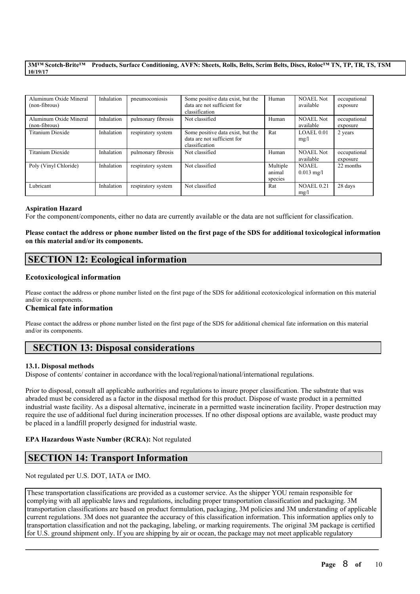| Aluminum Oxide Mineral<br>(non-fibrous) | Inhalation | pneumoconiosis     | Some positive data exist, but the<br>data are not sufficient for<br>classification | Human                         | <b>NOAEL Not</b><br>available | occupational<br>exposure |
|-----------------------------------------|------------|--------------------|------------------------------------------------------------------------------------|-------------------------------|-------------------------------|--------------------------|
| Aluminum Oxide Mineral<br>(non-fibrous) | Inhalation | pulmonary fibrosis | Not classified                                                                     | Human                         | <b>NOAEL Not</b><br>available | occupational<br>exposure |
| Titanium Dioxide                        | Inhalation | respiratory system | Some positive data exist, but the<br>data are not sufficient for<br>classification | Rat                           | LOAEL 0.01<br>mg/l            | 2 years                  |
| Titanium Dioxide                        | Inhalation | pulmonary fibrosis | Not classified                                                                     | Human                         | <b>NOAEL Not</b><br>available | occupational<br>exposure |
| Poly (Vinyl Chloride)                   | Inhalation | respiratory system | Not classified                                                                     | Multiple<br>animal<br>species | NOAEL<br>$0.013$ mg/l         | 22 months                |
| Lubricant                               | Inhalation | respiratory system | Not classified                                                                     | Rat                           | <b>NOAEL 0.21</b><br>mg/l     | 28 days                  |

#### **Aspiration Hazard**

For the component/components, either no data are currently available or the data are not sufficient for classification.

### Please contact the address or phone number listed on the first page of the SDS for additional toxicological information **on this material and/or its components.**

# **SECTION 12: Ecological information**

## **Ecotoxicological information**

Please contact the address or phone number listed on the first page of the SDS for additional ecotoxicological information on this material and/or its components.

#### **Chemical fate information**

Please contact the address or phone number listed on the first page of the SDS for additional chemical fate information on this material and/or its components.

# **SECTION 13: Disposal considerations**

#### **13.1. Disposal methods**

Dispose of contents/ container in accordance with the local/regional/national/international regulations.

Prior to disposal, consult all applicable authorities and regulations to insure proper classification. The substrate that was abraded must be considered as a factor in the disposal method for this product. Dispose of waste product in a permitted industrial waste facility. As a disposal alternative, incinerate in a permitted waste incineration facility. Proper destruction may require the use of additional fuel during incineration processes. If no other disposal options are available, waste product may be placed in a landfill properly designed for industrial waste.

#### **EPA Hazardous Waste Number (RCRA):** Not regulated

# **SECTION 14: Transport Information**

Not regulated per U.S. DOT, IATA or IMO.

These transportation classifications are provided as a customer service. As the shipper YOU remain responsible for complying with all applicable laws and regulations, including proper transportation classification and packaging. 3M transportation classifications are based on product formulation, packaging, 3M policies and 3M understanding of applicable current regulations. 3M does not guarantee the accuracy of this classification information. This information applies only to transportation classification and not the packaging, labeling, or marking requirements. The original 3M package is certified for U.S. ground shipment only. If you are shipping by air or ocean, the package may not meet applicable regulatory

 $\mathcal{L}_\mathcal{L} = \mathcal{L}_\mathcal{L} = \mathcal{L}_\mathcal{L} = \mathcal{L}_\mathcal{L} = \mathcal{L}_\mathcal{L} = \mathcal{L}_\mathcal{L} = \mathcal{L}_\mathcal{L} = \mathcal{L}_\mathcal{L} = \mathcal{L}_\mathcal{L} = \mathcal{L}_\mathcal{L} = \mathcal{L}_\mathcal{L} = \mathcal{L}_\mathcal{L} = \mathcal{L}_\mathcal{L} = \mathcal{L}_\mathcal{L} = \mathcal{L}_\mathcal{L} = \mathcal{L}_\mathcal{L} = \mathcal{L}_\mathcal{L}$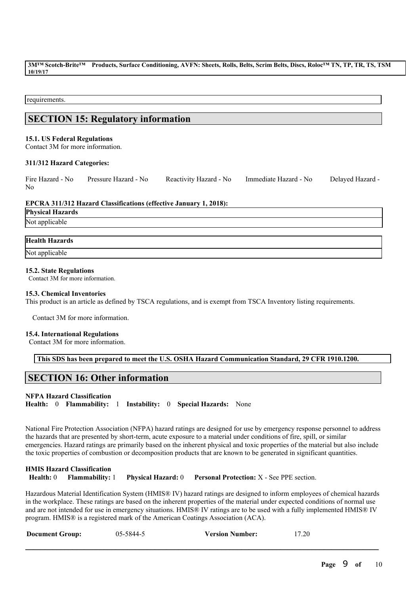requirements.

# **SECTION 15: Regulatory information**

#### **15.1. US Federal Regulations**

Contact 3M for more information.

#### **311/312 Hazard Categories:**

Fire Hazard - No Pressure Hazard - No Reactivity Hazard - No Immediate Hazard - No Delayed Hazard - No

#### **EPCRA 311/312 Hazard Classifications (effective January 1, 2018):**

| <b>Physical Hazards</b><br>Not applicable |
|-------------------------------------------|

#### **Health Hazards**

Not applicable

#### **15.2. State Regulations**

Contact 3M for more information.

#### **15.3. Chemical Inventories**

This product is an article as defined by TSCA regulations, and is exempt from TSCA Inventory listing requirements.

Contact 3M for more information.

#### **15.4. International Regulations**

Contact 3M for more information.

**This SDS has been prepared to meet the U.S. OSHA Hazard Communication Standard, 29 CFR 1910.1200.**

# **SECTION 16: Other information**

#### **NFPA Hazard Classification**

**Health:** 0 **Flammability:** 1 **Instability:** 0 **Special Hazards:** None

National Fire Protection Association (NFPA) hazard ratings are designed for use by emergency response personnel to address the hazards that are presented by short-term, acute exposure to a material under conditions of fire, spill, or similar emergencies. Hazard ratings are primarily based on the inherent physical and toxic properties of the material but also include the toxic properties of combustion or decomposition products that are known to be generated in significant quantities.

#### **HMIS Hazard Classification Health:** 0 **Flammability:** 1 **Physical Hazard:** 0 **Personal Protection:** X - See PPE section.

Hazardous Material Identification System (HMIS® IV) hazard ratings are designed to inform employees of chemical hazards in the workplace. These ratings are based on the inherent properties of the material under expected conditions of normal use and are not intended for use in emergency situations. HMIS® IV ratings are to be used with a fully implemented HMIS® IV program. HMIS® is a registered mark of the American Coatings Association (ACA).

 $\mathcal{L}_\mathcal{L} = \mathcal{L}_\mathcal{L} = \mathcal{L}_\mathcal{L} = \mathcal{L}_\mathcal{L} = \mathcal{L}_\mathcal{L} = \mathcal{L}_\mathcal{L} = \mathcal{L}_\mathcal{L} = \mathcal{L}_\mathcal{L} = \mathcal{L}_\mathcal{L} = \mathcal{L}_\mathcal{L} = \mathcal{L}_\mathcal{L} = \mathcal{L}_\mathcal{L} = \mathcal{L}_\mathcal{L} = \mathcal{L}_\mathcal{L} = \mathcal{L}_\mathcal{L} = \mathcal{L}_\mathcal{L} = \mathcal{L}_\mathcal{L}$ 

| <b>Document Group:</b> | 05-5844-5 | <b>Version Number:</b> | 17.20 |
|------------------------|-----------|------------------------|-------|
|------------------------|-----------|------------------------|-------|